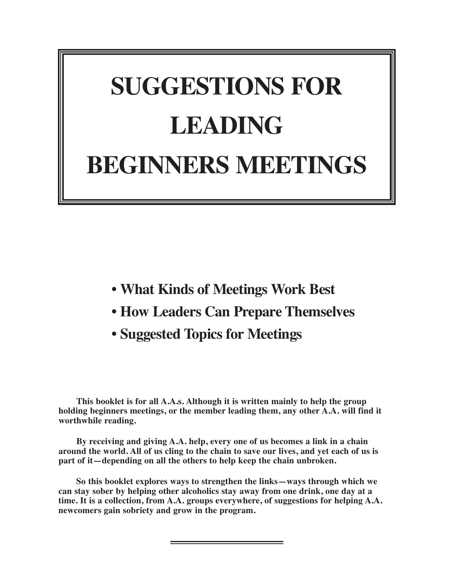# **SUGGESTIONS FOR LEADING BEGINNERS MEETINGS**

- **• What Kinds of Meetings Work Best**
- **• How Leaders Can Prepare Themselves**
- **• Suggested Topics for Meetings**

**This booklet is for all A.A.s. Although it is written mainly to help the group holding beginners meetings, or the member leading them, any other A.A. will find it worthwhile reading.**

**By receiving and giving A.A. help, every one of us becomes a link in a chain** around the world. All of us cling to the chain to save our lives, and yet each of us is **part of it—depending on all the others to help keep the chain unbroken.**

**So this booklet explores ways to strengthen the links—ways through which we can stay sober by helping other alcoholics stay away from one drink, one day at a time. It is a collection, from A.A. groups everywhere, of suggestions for helping A.A. newcomers gain sobriety and grow in the program.**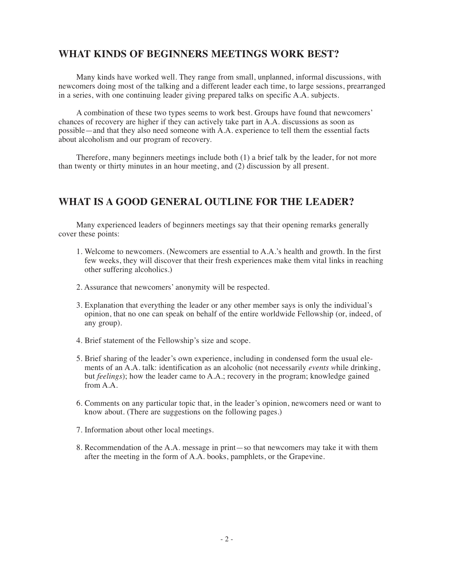## **WHAT KINDS OF BEGINNERS MEETINGS WORK BEST?**

Many kinds have worked well. They range from small, unplanned, informal discussions, with newcomers doing most of the talking and a different leader each time, to large sessions, prearranged in a series, with one continuing leader giving prepared talks on specific A.A. subjects.

A combination of these two types seems to work best. Groups have found that newcomers' chances of recovery are higher if they can actively take part in A.A. discussions as soon as possible—and that they also need someone with A.A. experience to tell them the essential facts about alcoholism and our program of recovery.

Therefore, many beginners meetings include both (1) a brief talk by the leader, for not more than twenty or thirty minutes in an hour meeting, and (2) discussion by all present.

## **WHAT IS A GOOD GENERAL OUTLINE FOR THE LEADER?**

Many experienced leaders of beginners meetings say that their opening remarks generally cover these points:

- 1. Welcome to newcomers. (Newcomers are essential to A.A.'s health and growth. In the first few weeks, they will discover that their fresh experiences make them vital links in reaching other suffering alcoholics.)
- 2. Assurance that newcomers' anonymity will be respected.
- 3. Explanation that everything the leader or any other member says is only the individual's opinion, that no one can speak on behalf of the entire worldwide Fellowship (or, indeed, of any group).
- 4. Brief statement of the Fellowship's size and scope.
- 5. Brief sharing of the leader's own experience, including in condensed form the usual elements of an A.A. talk: identification as an alcoholic (not necessarily *events w*hile drinking, but *feelings*); how the leader came to A.A.; recovery in the program; knowledge gained from A.A.
- 6. Comments on any particular topic that, in the leader's opinion, newcomers need or want to know about. (There are suggestions on the following pages.)
- 7. Information about other local meetings.
- 8. Recommendation of the A.A. message in print—so that newcomers may take it with them after the meeting in the form of A.A. books, pamphlets, or the Grapevine.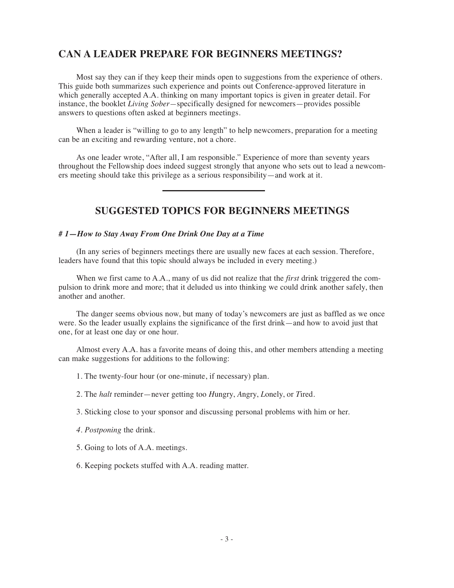# **CAN A LEADER PREPARE FOR BEGINNERS MEETINGS?**

Most say they can if they keep their minds open to suggestions from the experience of others. This guide both summarizes such experience and points out Conference-approved literature in which generally accepted A.A. thinking on many important topics is given in greater detail. For instance, the booklet *Living Sober—*specifically designed for newcomers—provides possible answers to questions often asked at beginners meetings.

When a leader is "willing to go to any length" to help newcomers, preparation for a meeting can be an exciting and rewarding venture, not a chore.

As one leader wrote, "After all, I am responsible." Experience of more than seventy years throughout the Fellowship does indeed suggest strongly that anyone who sets out to lead a newcomers meeting should take this privilege as a serious responsibility—and work at it.

# **SUGGESTED TOPICS FOR BEGINNERS MEETINGS**

## *# 1—How to Stay Away From One Drink One Day at a Time*

(In any series of beginners meetings there are usually new faces at each session. Therefore, leaders have found that this topic should always be included in every meeting.)

When we first came to A.A., many of us did not realize that the *first* drink triggered the compulsion to drink more and more; that it deluded us into thinking we could drink another safely, then another and another.

The danger seems obvious now, but many of today's newcomers are just as baffled as we once were. So the leader usually explains the significance of the first drink—and how to avoid just that one, for at least one day or one hour.

Almost every A.A. has a favorite means of doing this, and other members attending a meeting can make suggestions for additions to the following:

- 1. The twenty-four hour (or one-minute, if necessary) plan.
- 2. The *halt* reminder—never getting too *H*ungry, *A*ngry, *L*onely, or *T*ired.
- 3. Sticking close to your sponsor and discussing personal problems with him or her.
- *4. Postponing* the drink.
- 5. Going to lots of A.A. meetings.
- 6. Keeping pockets stuffed with A.A. reading matter.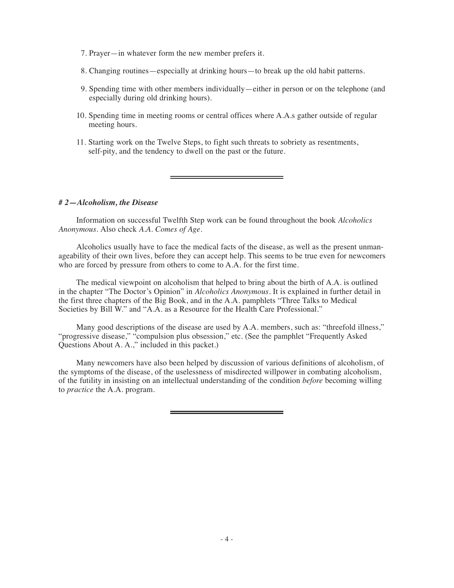- 7. Prayer—in whatever form the new member prefers it.
- 8. Changing routines—especially at drinking hours—to break up the old habit patterns.
- 9. Spending time with other members individually—either in person or on the telephone (and especially during old drinking hours).
- 10. Spending time in meeting rooms or central offices where A.A.s gather outside of regular meeting hours.
- 11. Starting work on the Twelve Steps, to fight such threats to sobriety as resentments, self-pity, and the tendency to dwell on the past or the future.

#### *# 2—Alcoholism, the Disease*

Information on successful Twelfth Step work can be found throughout the book *Alcoholics Anonymous.* Also check *A.A. Comes of Age.*

Alcoholics usually have to face the medical facts of the disease, as well as the present unmanageability of their own lives, before they can accept help. This seems to be true even for newcomers who are forced by pressure from others to come to A.A. for the first time.

The medical viewpoint on alcoholism that helped to bring about the birth of A.A. is outlined in the chapter "The Doctor's Opinion" in *Alcoholics Anonymous.* It is explained in further detail in the first three chapters of the Big Book, and in the A.A. pamphlets "Three Talks to Medical Societies by Bill W." and "A.A. as a Resource for the Health Care Professional."

Many good descriptions of the disease are used by A.A. members, such as: "threefold illness," "progressive disease," "compulsion plus obsession," etc. (See the pamphlet "Frequently Asked Questions About A. A.," included in this packet.)

Many newcomers have also been helped by discussion of various definitions of alcoholism, of the symptoms of the disease, of the uselessness of misdirected willpower in combating alcoholism, of the futility in insisting on an intellectual understanding of the condition *before* becoming willing to *practice* the A.A. program.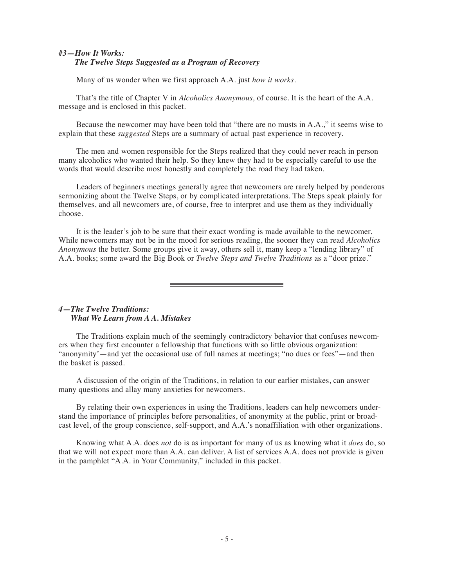## *#3—How It Works: The Twelve Steps Suggested as a Program of Recovery*

Many of us wonder when we first approach A.A. just *how it works.*

That's the title of Chapter V in *Alcoholics Anonymous,* of course. It is the heart of the A.A. message and is enclosed in this packet.

Because the newcomer may have been told that "there are no musts in A.A.," it seems wise to explain that these *suggested* Steps are a summary of actual past experience in recovery.

The men and women responsible for the Steps realized that they could never reach in person many alcoholics who wanted their help. So they knew they had to be especially careful to use the words that would describe most honestly and completely the road they had taken.

Leaders of beginners meetings generally agree that newcomers are rarely helped by ponderous sermonizing about the Twelve Steps, or by complicated interpretations. The Steps speak plainly for themselves, and all newcomers are, of course, free to interpret and use them as they individually choose.

It is the leader's job to be sure that their exact wording is made available to the newcomer. While newcomers may not be in the mood for serious reading, the sooner they can read *Alcoholics Anonymous* the better. Some groups give it away, others sell it, many keep a "lending library" of A.A. books; some award the Big Book or *Twelve Steps and Twelve Traditions* as a "door prize."

## *4—The Twelve Traditions: What We Learn from A A. Mistakes*

The Traditions explain much of the seemingly contradictory behavior that confuses newcomers when they first encounter a fellowship that functions with so little obvious organization: "anonymity'—and yet the occasional use of full names at meetings; "no dues or fees"—and then the basket is passed.

A discussion of the origin of the Traditions, in relation to our earlier mistakes, can answer many questions and allay many anxieties for newcomers.

By relating their own experiences in using the Traditions, leaders can help newcomers understand the importance of principles before personalities, of anonymity at the public, print or broadcast level, of the group conscience, self-support, and A.A.'s nonaffiliation with other organizations.

Knowing what A.A. does *not* do is as important for many of us as knowing what it *does* do, so that we will not expect more than A.A. can deliver. A list of services A.A. does not provide is given in the pamphlet "A.A. in Your Community," included in this packet.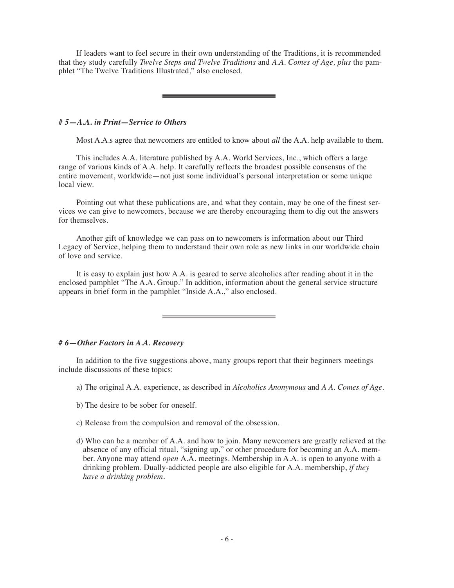If leaders want to feel secure in their own understanding of the Traditions, it is recommended that they study carefully *Twelve Steps and Twelve Traditions* and *A.A. Comes of Age, plus* the pamphlet "The Twelve Traditions Illustrated," also enclosed.

### *# 5—A.A. in Print—Service to Others*

Most A.A.s agree that newcomers are entitled to know about *all* the A.A. help available to them.

This includes A.A. literature published by A.A. World Services, Inc., which offers a large range of various kinds of A.A. help. It carefully reflects the broadest possible consensus of the entire movement, worldwide—not just some individual's personal interpretation or some unique local view.

Pointing out what these publications are, and what they contain, may be one of the finest services we can give to newcomers, because we are thereby encouraging them to dig out the answers for themselves.

Another gift of knowledge we can pass on to newcomers is information about our Third Legacy of Service, helping them to understand their own role as new links in our worldwide chain of love and service.

It is easy to explain just how A.A. is geared to serve alcoholics after reading about it in the enclosed pamphlet "The A.A. Group." In addition, information about the general service structure appears in brief form in the pamphlet "Inside A.A.," also enclosed.

## *# 6—Other Factors in A.A. Recovery*

In addition to the five suggestions above, many groups report that their beginners meetings include discussions of these topics:

- a) The original A.A. experience, as described in *Alcoholics Anonymous* and *A A. Comes of Age.*
- b) The desire to be sober for oneself.
- c) Release from the compulsion and removal of the obsession.
- d) Who can be a member of A.A. and how to join. Many newcomers are greatly relieved at the absence of any official ritual, "signing up," or other procedure for becoming an A.A. member. Anyone may attend *open* A.A. meetings. Membership in A.A. is open to anyone with a drinking problem. Dually-addicted people are also eligible for A.A. membership, *if they have a drinking problem.*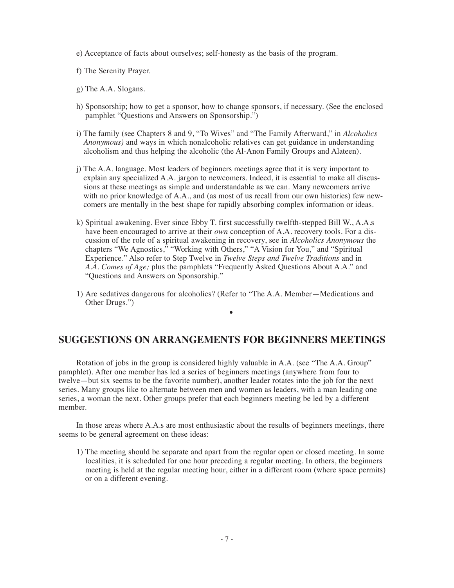- e) Acceptance of facts about ourselves; self-honesty as the basis of the program.
- f) The Serenity Prayer.
- g) The A.A. Slogans.
- h) Sponsorship; how to get a sponsor, how to change sponsors, if necessary. (See the enclosed pamphlet "Questions and Answers on Sponsorship.")
- i) The family (see Chapters 8 and 9, "To Wives" and "The Family Afterward," in *Alcoholics Anonymous)* and ways in which nonalcoholic relatives can get guidance in understanding alcoholism and thus helping the alcoholic (the Al-Anon Family Groups and Alateen).
- j) The A.A. language. Most leaders of beginners meetings agree that it is very important to explain any specialized A.A. jargon to newcomers. Indeed, it is essential to make all discussions at these meetings as simple and understandable as we can. Many newcomers arrive with no prior knowledge of A.A., and (as most of us recall from our own histories) few newcomers are mentally in the best shape for rapidly absorbing complex information or ideas.
- k) Spiritual awakening. Ever since Ebby T. first successfully twelfth-stepped Bill W., A.A.s have been encouraged to arrive at their *own* conception of A.A. recovery tools. For a discussion of the role of a spiritual awakening in recovery, see in *Alcoholics Anonymous* the chapters "We Agnostics," "Working with Others," "A Vision for You," and "Spiritual Experience." Also refer to Step Twelve in *Twelve Steps and Twelve Traditions* and in *A.A. Comes of Age;* plus the pamphlets "Frequently Asked Questions About A.A." and "Questions and Answers on Sponsorship."
- 1) Are sedatives dangerous for alcoholics? (Refer to "The A.A. Member—Medications and Other Drugs.")

•

## **SUGGESTIONS ON ARRANGEMENTS FOR BEGINNERS MEETINGS**

Rotation of jobs in the group is considered highly valuable in A.A. (see "The A.A. Group" pamphlet). After one member has led a series of beginners meetings (anywhere from four to twelve—but six seems to be the favorite number), another leader rotates into the job for the next series. Many groups like to alternate between men and women as leaders, with a man leading one series, a woman the next. Other groups prefer that each beginners meeting be led by a different member.

In those areas where A.A.s are most enthusiastic about the results of beginners meetings, there seems to be general agreement on these ideas:

1) The meeting should be separate and apart from the regular open or closed meeting. In some localities, it is scheduled for one hour preceding a regular meeting. In others, the beginners meeting is held at the regular meeting hour, either in a different room (where space permits) or on a different evening.